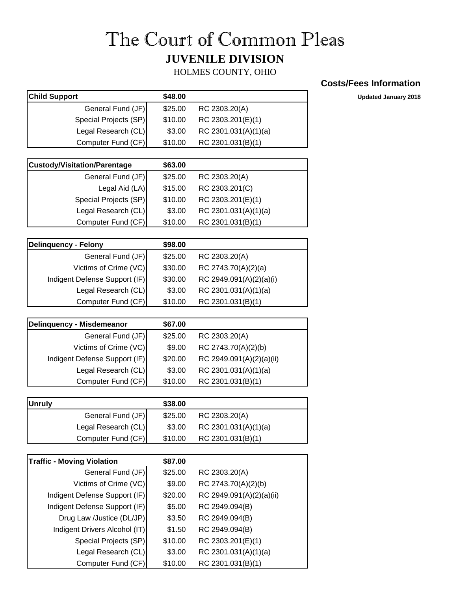## The Court of Common Pleas **JUVENILE DIVISION**

HOLMES COUNTY, OHIO

## **Costs/Fees Information**

**Child Support \$48.00 Updated January 2018**

| <b>Child Support</b>  | \$48.00 |                      |
|-----------------------|---------|----------------------|
| General Fund (JF)     | \$25.00 | RC 2303.20(A)        |
| Special Projects (SP) | \$10.00 | RC 2303.201(E)(1)    |
| Legal Research (CL)   | \$3.00  | RC 2301.031(A)(1)(a) |
| Computer Fund (CF)    | \$10.00 | RC 2301.031(B)(1)    |

| <b>Custody/Visitation/Parentage</b> | \$63.00 |                      |
|-------------------------------------|---------|----------------------|
| General Fund (JF)                   | \$25.00 | RC 2303.20(A)        |
| Legal Aid (LA)                      | \$15.00 | RC 2303.201(C)       |
| Special Projects (SP)               | \$10.00 | RC 2303.201(E)(1)    |
| Legal Research (CL)                 | \$3.00  | RC 2301.031(A)(1)(a) |
| Computer Fund (CF)                  | \$10.00 | RC 2301.031(B)(1)    |

| Delinquency - Felony          | \$98.00 |                         |
|-------------------------------|---------|-------------------------|
| General Fund (JF)             | \$25.00 | RC 2303.20(A)           |
| Victims of Crime (VC)         | \$30.00 | RC 2743.70(A)(2)(a)     |
| Indigent Defense Support (IF) | \$30.00 | RC 2949.091(A)(2)(a)(i) |
| Legal Research (CL)           | \$3.00  | RC 2301.031(A)(1)(a)    |
| Computer Fund (CF)            | \$10.00 | RC 2301.031(B)(1)       |

| <b>Delinquency - Misdemeanor</b> | \$67.00 |                          |
|----------------------------------|---------|--------------------------|
| General Fund (JF)                | \$25.00 | RC 2303.20(A)            |
| Victims of Crime (VC)            | \$9.00  | RC 2743.70(A)(2)(b)      |
| Indigent Defense Support (IF)    | \$20.00 | RC 2949.091(A)(2)(a)(ii) |
| Legal Research (CL)              | \$3.00  | RC 2301.031(A)(1)(a)     |
| Computer Fund (CF)               | \$10.00 | RC 2301.031(B)(1)        |

| <b>IUnruly</b> |                     | \$38.00 |                      |
|----------------|---------------------|---------|----------------------|
|                | General Fund (JF)   | \$25.00 | RC 2303.20(A)        |
|                | Legal Research (CL) | \$3.00  | RC 2301.031(A)(1)(a) |
|                | Computer Fund (CF)  | \$10.00 | RC 2301.031(B)(1)    |

| <b>Traffic - Moving Violation</b> | \$87.00 |                          |
|-----------------------------------|---------|--------------------------|
| General Fund (JF)                 | \$25.00 | RC 2303.20(A)            |
| Victims of Crime (VC)             | \$9.00  | RC 2743.70(A)(2)(b)      |
| Indigent Defense Support (IF)     | \$20.00 | RC 2949.091(A)(2)(a)(ii) |
| Indigent Defense Support (IF)     | \$5.00  | RC 2949.094(B)           |
| Drug Law /Justice (DL/JP)         | \$3.50  | RC 2949.094(B)           |
| Indigent Drivers Alcohol (IT)     | \$1.50  | RC 2949.094(B)           |
| Special Projects (SP)             | \$10.00 | RC 2303.201(E)(1)        |
| Legal Research (CL)               | \$3.00  | RC 2301.031(A)(1)(a)     |
| Computer Fund (CF)                | \$10.00 | RC 2301.031(B)(1)        |